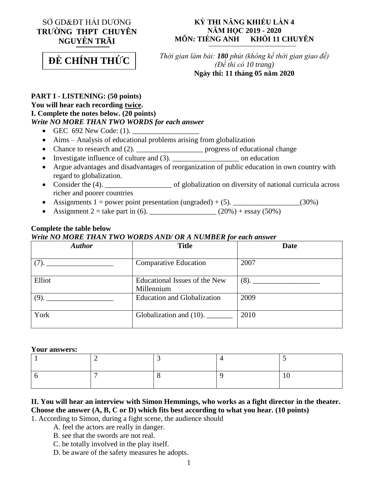# SỞ GD&ĐT HẢI DƯƠNG **TRƯỜNG THPT CHUYÊN NGUYỄN TRÃI**

### **KỲ THI NĂNG KHIẾU LẦN 4 NĂM HỌC 2019 - 2020 MÔN: TIẾNG ANH KHỐI 11 CHUYÊN**

ĐỀ **ĐỀ CHÍNH THỨC**

*Thời gian làm bài: 180 phút (không kể thời gian giao đề) (Đề thi có 10 trang)* **Ngày thi: 11 tháng 05 năm 2020**

### **PART I - LISTENING: (50 points) You will hear each recording twice. I. Complete the notes below. (20 points)** *Write NO MORE THAN TWO WORDS for each answer*

- GEC 692 New Code: (1).
- Aims Analysis of educational problems arising from globalization
- Chance to research and (2). \_\_\_\_\_\_\_\_\_\_\_\_\_\_\_\_\_\_\_\_\_\_\_\_\_ progress of educational change
- Investigate influence of culture and (3). \_\_\_\_\_\_\_\_\_\_\_\_\_\_\_\_\_\_ on education
- Argue advantages and disadvantages of reorganization of public education in own country with regard to globalization.
- Consider the (4). \_\_\_\_\_\_\_\_\_\_\_\_\_\_\_\_\_\_ of globalization on diversity of national curricula across richer and poorer countries
- Assignments  $1 = power point presentation (ungraded) + (5)$ . \_\_\_\_\_\_\_\_\_\_\_\_\_\_\_\_\_\_(30%)
- Assignment 2 = take part in (6). \_\_\_\_\_\_\_\_\_\_\_\_\_\_\_\_\_\_\_\_\_ (20%) + essay (50%)

## **Complete the table below** *Write NO MORE THAN TWO WORDS AND/ OR A NUMBER for each answer*

| <b>Author</b> | <b>Title</b>                                | Date    |
|---------------|---------------------------------------------|---------|
| (7).          | <b>Comparative Education</b>                | 2007    |
| Elliot        | Educational Issues of the New<br>Millennium | $(8)$ . |
| (9).          | <b>Education and Globalization</b>          | 2009    |
| York          | Globalization and $(10)$ .                  | 2010    |

#### **Your answers:**

## **II. You will hear an interview with Simon Hemmings, who works as a fight director in the theater. Choose the answer (A, B, C or D) which fits best according to what you hear. (10 points)**

1. According to Simon, during a fight scene, the audience should

- A. feel the actors are really in danger.
- B. see that the swords are not real.
- C. be totally involved in the play itself.
- D. be aware of the safety measures he adopts.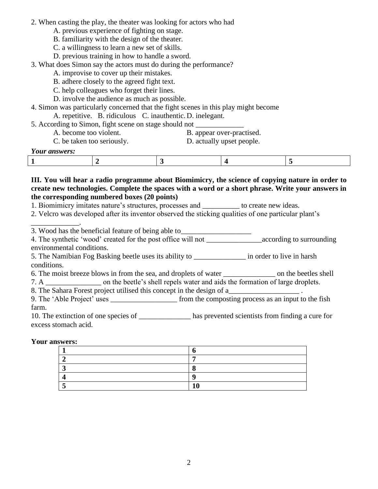2. When casting the play, the theater was looking for actors who had

- A. previous experience of fighting on stage.
- B. familiarity with the design of the theater.
- C. a willingness to learn a new set of skills.
- D. previous training in how to handle a sword.

### 3. What does Simon say the actors must do during the performance?

A. improvise to cover up their mistakes.

- B. adhere closely to the agreed fight text.
- C. help colleagues who forget their lines.
- D. involve the audience as much as possible.
- 4. Simon was particularly concerned that the fight scenes in this play might become
	- A. repetitive. B. ridiculous C. inauthentic.D. inelegant.
- 5. According to Simon, fight scene on stage should not
	- A. become too violent. B. appear over-practised.
	- C. be taken too seriously. D. actually upset people.

#### *Your answers:*

\_\_\_\_\_\_\_\_\_\_\_\_\_.

|--|--|--|--|--|--|--|

#### **III. You will hear a radio programme about Biomimicry, the science of copying nature in order to create new technologies. Complete the spaces with a word or a short phrase. Write your answers in the corresponding numbered boxes (20 points)**

1. Biomimicry imitates nature's structures, processes and \_\_\_\_\_\_\_\_\_\_ to create new ideas.

2. Velcro was developed after its inventor observed the sticking qualities of one particular plant's

3. Wood has the beneficial feature of being able to\_\_\_\_\_\_\_\_\_\_\_\_\_\_\_\_\_\_\_

4. The synthetic 'wood' created for the post office will not according to surrounding environmental conditions.

5. The Namibian Fog Basking beetle uses its ability to \_\_\_\_\_\_\_\_\_\_\_\_\_\_ in order to live in harsh conditions.

6. The moist breeze blows in from the sea, and droplets of water \_\_\_\_\_\_\_\_\_\_\_\_\_\_ on the beetles shell 7. A \_\_\_\_\_\_\_\_\_\_\_\_\_\_\_ on the beetle's shell repels water and aids the formation of large droplets.

8. The Sahara Forest project utilised this concept in the design of a\_

9. The 'Able Project' uses \_\_\_\_\_\_\_\_\_\_\_\_\_\_\_\_\_\_ from the composting process as an input to the fish farm.

10. The extinction of one species of has prevented scientists from finding a cure for excess stomach acid.

#### **Your answers:**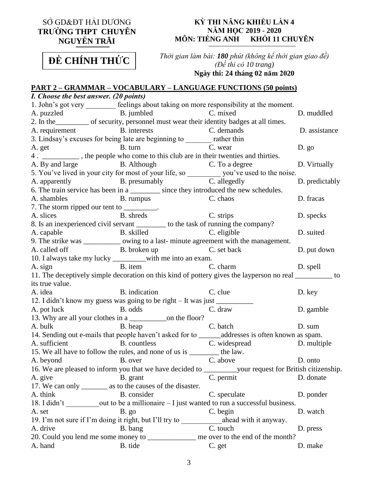# SỞ GD&ĐT HẢI DƯƠNG **TRƯỜNG THPT CHUYÊN NGUYỄN TRÃI**

## **KỲ THI NĂNG KHIẾU LẦN 4 NĂM HỌC 2019 - 2020 MÔN: TIẾNG ANH**

ĐỀ **ĐỀ CHÍNH THỨC**

*Thời gian làm bài: 180 phút (không kể thời gian giao đề) (Đề thi có 10 trang)* **Ngày thi: 24 tháng 02 năm 2020**

#### **PART 2 – GRAMMAR – VOCABULARY – LANGUAGE FUNCTIONS (50 points)**

| <i>I. Choose the best answer.</i> (20 points)                          |                                                                                                        |                                                                                                              |                |
|------------------------------------------------------------------------|--------------------------------------------------------------------------------------------------------|--------------------------------------------------------------------------------------------------------------|----------------|
|                                                                        |                                                                                                        | 1. John's got very ________ feelings about taking on more responsibility at the moment.                      |                |
|                                                                        | A. puzzled B. jumbled C. mixed                                                                         |                                                                                                              | D. muddled     |
|                                                                        | 2. In the of security, personnel must wear their identity badges at all times.                         |                                                                                                              |                |
|                                                                        |                                                                                                        | D. assistance                                                                                                |                |
|                                                                        |                                                                                                        |                                                                                                              |                |
|                                                                        |                                                                                                        |                                                                                                              | $D. g_0$       |
|                                                                        | A. get<br>B. turn<br>B. turn<br>B. turn<br>C. wear<br>C. wear<br>C. wear<br>C. wear<br>$\frac{1}{2}$   |                                                                                                              |                |
|                                                                        | A. By and large B. Although C. To a degree                                                             | D. Virtually                                                                                                 |                |
|                                                                        |                                                                                                        | 5. You've lived in your city for most of your life, so ____________ you've used to the noise.                |                |
|                                                                        | A. apparently B. presumably B. c. allegedly                                                            |                                                                                                              | D. predictably |
|                                                                        | 6. The train service has been in a _________ since they introduced the new schedules.                  |                                                                                                              |                |
|                                                                        | A. shambles B. rumpus B. rumpus C. chaos                                                               |                                                                                                              | D. fracas      |
|                                                                        |                                                                                                        |                                                                                                              |                |
|                                                                        | 7. The storm ripped our tent to __________.<br>A. slices B. shreds C. strips C.                        |                                                                                                              | D. specks      |
|                                                                        | 8. Is an inexperienced civil servant _________ to the task of running the company?                     |                                                                                                              |                |
|                                                                        | A. capable <b>B.</b> skilled <b>C.</b> eligible                                                        |                                                                                                              | D. suited      |
|                                                                        | 9. The strike was ____________ owing to a last-minute agreement with the management.                   |                                                                                                              |                |
|                                                                        | A. called off B. broken up B. broken up C. set back                                                    |                                                                                                              | D. put down    |
|                                                                        | 10. I always take my lucky ________ with me into an exam.                                              |                                                                                                              |                |
| $A. sign$ $A. sign$                                                    |                                                                                                        | B. item C. charm D. spell                                                                                    |                |
|                                                                        |                                                                                                        |                                                                                                              |                |
|                                                                        |                                                                                                        | 11. The deceptively simple decoration on this kind of pottery gives the layperson no real __________ to      |                |
| its true value.                                                        |                                                                                                        |                                                                                                              |                |
| A. idea                                                                | B. indication C. clue                                                                                  |                                                                                                              | D. key         |
|                                                                        | 12. I didn't know my guess was going to be right – It was just __________                              |                                                                                                              |                |
| A. pot luck                                                            | B. odds C. draw                                                                                        |                                                                                                              | D. gamble      |
|                                                                        |                                                                                                        |                                                                                                              |                |
| A. bulk B. heap                                                        |                                                                                                        |                                                                                                              | D. sum         |
|                                                                        |                                                                                                        | C. batch                                                                                                     |                |
|                                                                        |                                                                                                        | 14. Sending out e-mails that people haven't asked for to ________addresses is often known as spam.           |                |
|                                                                        |                                                                                                        | A. sufficient B. countless C. widespread D. multiple                                                         |                |
|                                                                        | 15. We all have to follow the rules, and none of us is ________ the law.<br>A. beyond B. over C. above |                                                                                                              |                |
|                                                                        |                                                                                                        | D. onto                                                                                                      |                |
|                                                                        | B. grant                                                                                               | C. permit                                                                                                    | D. donate      |
| A. give<br>17. We can only _________ as to the causes of the disaster. |                                                                                                        |                                                                                                              |                |
| A. think                                                               | B. consider                                                                                            | C. speculate                                                                                                 | D. ponder      |
|                                                                        |                                                                                                        |                                                                                                              |                |
| A. set                                                                 | B. go                                                                                                  | 18. I didn't ______________out to be a millionaire – I just wanted to run a successful business.<br>C. begin | D. watch       |
|                                                                        | 19. I'm not sure if I'm doing it right, but I'll try to                                                | ahead with it anyway.                                                                                        |                |
| A. drive                                                               | B. bang                                                                                                | C. touch                                                                                                     | D. press       |
|                                                                        |                                                                                                        | 20. Could you lend me some money to ____________ me over to the end of the month?                            |                |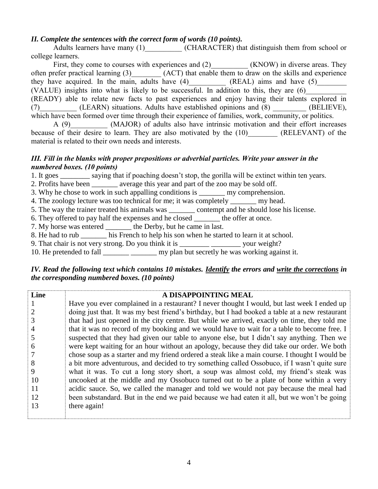#### *II. Complete the sentences with the correct form of words (10 points).*

Adults learners have many (1) (CHARACTER) that distinguish them from school or college learners.

First, they come to courses with experiences and (2) (KNOW) in diverse areas. They often prefer practical learning (3)  $\qquad$  (ACT) that enable them to draw on the skills and experience they have acquired. In the main, adults have (4) (REAL) aims and have (5) they have acquired. In the main, adults have  $(4)$ (VALUE) insights into what is likely to be successful. In addition to this, they are  $(6)$ (READY) able to relate new facts to past experiences and enjoy having their talents explored in (7) (LEARN) situations. Adults have established opinions and (8) (BELIEVE), which have been formed over time through their experience of families, work, community, or politics.

A (9) (MAJOR) of adults also have intrinsic motivation and their effort increases because of their desire to learn. They are also motivated by the (10) (RELEVANT) of the material is related to their own needs and interests.

#### *III. Fill in the blanks with proper prepositions or adverbial particles. Write your answer in the numbered boxes. (10 points)*

1. It goes saying that if poaching doesn't stop, the gorilla will be extinct within ten years.

2. Profits have been average this year and part of the zoo may be sold off.

- 3. Why he chose to work in such appalling conditions is <u>my comprehension</u>.
- 4. The zoology lecture was too technical for me; it was completely my head.
- 5. The way the trainer treated his animals was \_\_\_\_\_\_\_ contempt and he should lose his license.
- 6. They offered to pay half the expenses and he closed the offer at once.
- 7. My horse was entered the Derby, but he came in last.
- 8. He had to rub his French to help his son when he started to learn it at school.
- 9. That chair is not very strong. Do you think it is \_\_\_\_\_\_\_\_\_\_\_\_\_\_\_\_\_\_\_\_\_\_\_\_\_\_ your weight?
- 10. He pretended to fall \_\_\_\_\_\_\_\_\_\_\_\_\_\_\_\_\_ my plan but secretly he was working against it.

#### *IV. Read the following text which contains 10 mistakes. Identify the errors and write the corrections in the corresponding numbered boxes. (10 points)*

| Line | A DISAPPOINTING MEAL                                                                            |
|------|-------------------------------------------------------------------------------------------------|
|      | Have you ever complained in a restaurant? I never thought I would, but last week I ended up     |
|      | doing just that. It was my best friend's birthday, but I had booked a table at a new restaurant |
| 3    | that had just opened in the city centre. But while we arrived, exactly on time, they told me    |
| 4    | that it was no record of my booking and we would have to wait for a table to become free. I     |
|      | suspected that they had given our table to anyone else, but I didn't say anything. Then we      |
| 6    | were kept waiting for an hour without an apology, because they did take our order. We both      |
|      | chose soup as a starter and my friend ordered a steak like a main course. I thought I would be  |
| 8    | a bit more adventurous, and decided to try something called Ossobuco, if I wasn't quite sure    |
| 9    | what it was. To cut a long story short, a soup was almost cold, my friend's steak was           |
| 10   | uncooked at the middle and my Ossobuco turned out to be a plate of bone within a very           |
| 11   | acidic sauce. So, we called the manager and told we would not pay because the meal had          |
| 12   | been substandard. But in the end we paid because we had eaten it all, but we won't be going     |
| 13   | there again!                                                                                    |
|      |                                                                                                 |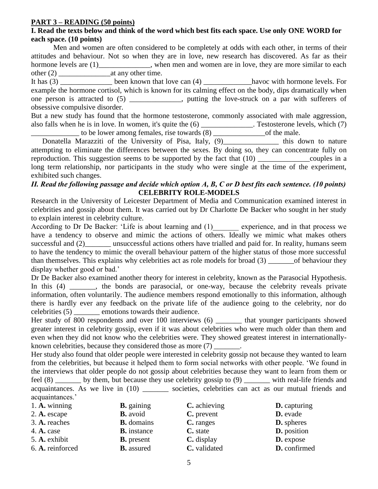### **PART 3 – READING (50 points)**

## **I. Read the texts below and think of the word which best fits each space. Use only ONE WORD for each space. (10 points)**

Men and women are often considered to be completely at odds with each other, in terms of their attitudes and behaviour. Not so when they are in love, new research has discovered. As far as their hormone levels are (1) when men and women are in love, they are more similar to each other (2) \_\_\_\_\_\_\_\_\_\_\_\_\_\_at any other time.

It has (3) \_\_\_\_\_\_\_\_\_\_\_\_\_\_ been known that love can (4) \_\_\_\_\_\_\_\_\_\_\_\_\_havoc with hormone levels. For example the hormone cortisol, which is known for its calming effect on the body, dips dramatically when one person is attracted to (5) \_\_\_\_\_\_\_\_\_\_\_, putting the love-struck on a par with sufferers of obsessive compulsive disorder.

But a new study has found that the hormone testosterone, commonly associated with male aggression, also falls when he is in love. In women, it's quite the  $(6)$  \_\_\_\_\_\_\_\_\_\_\_\_\_. Testosterone levels, which (7)

\_\_\_\_\_\_\_\_\_\_\_\_\_ to be lower among females, rise towards (8) \_\_\_\_\_\_\_\_\_\_\_\_\_\_of the male. Donatella Marazziti of the University of Pisa, Italy, (9)\_\_\_\_\_\_\_\_\_\_\_\_\_\_\_\_\_\_\_\_\_\_\_\_ this down to nature attempting to eliminate the differences between the sexes. By doing so, they can concentrate fully on reproduction. This suggestion seems to be supported by the fact that  $(10)$  couples in a

long term relationship, nor participants in the study who were single at the time of the experiment, exhibited such changes.

#### *II. Read the following passage and decide which option A, B, C or D best fits each sentence. (10 points)* **CELEBRITY ROLE-MODELS**

Research in the University of Leicester Department of Media and Communication examined interest in celebrities and gossip about them. It was carried out by Dr Charlotte De Backer who sought in her study to explain interest in celebrity culture.

According to Dr De Backer: 'Life is about learning and (1) experience, and in that process we have a tendency to observe and mimic the actions of others. Ideally we mimic what makes others successful and (2)\_\_\_\_\_\_\_\_ unsuccessful actions others have trialled and paid for. In reality, humans seem to have the tendency to mimic the overall behaviour pattern of the higher status of those more successful than themselves. This explains why celebrities act as role models for broad (3) \_\_\_\_\_\_\_of behaviour they display whether good or bad.'

Dr De Backer also examined another theory for interest in celebrity, known as the Parasocial Hypothesis. In this (4)  $\blacksquare$ , the bonds are parasocial, or one-way, because the celebrity reveals private information, often voluntarily. The audience members respond emotionally to this information, although there is hardly ever any feedback on the private life of the audience going to the celebrity, nor do celebrities (5) \_\_\_\_\_\_\_ emotions towards their audience.

Her study of 800 respondents and over 100 interviews (6) that younger participants showed greater interest in celebrity gossip, even if it was about celebrities who were much older than them and even when they did not know who the celebrities were. They showed greatest interest in internationallyknown celebrities, because they considered those as more (7) \_\_\_\_\_\_\_.

Her study also found that older people were interested in celebrity gossip not because they wanted to learn from the celebrities, but because it helped them to form social networks with other people. 'We found in the interviews that older people do not gossip about celebrities because they want to learn from them or feel (8) \_\_\_\_\_\_\_ by them, but because they use celebrity gossip to (9) \_\_\_\_\_\_\_ with real-life friends and acquaintances. As we live in (10) \_\_\_\_\_\_\_\_ societies, celebrities can act as our mutual friends and acquaintances.'

| acquannances.    |                    |              |                     |
|------------------|--------------------|--------------|---------------------|
| 1. A. winning    | <b>B.</b> gaining  | C. achieving | <b>D.</b> capturing |
| 2. A. escape     | <b>B.</b> avoid    | C. prevent   | <b>D.</b> evade     |
| 3. A. reaches    | <b>B.</b> domains  | C. ranges    | <b>D.</b> spheres   |
| 4. A. case       | <b>B.</b> instance | C. state     | <b>D.</b> position  |
| 5. A. exhibit    | <b>B.</b> present  | $C.$ display | <b>D.</b> expose    |
| 6. A. reinforced | <b>B.</b> assured  | C. validated | D. confirmed        |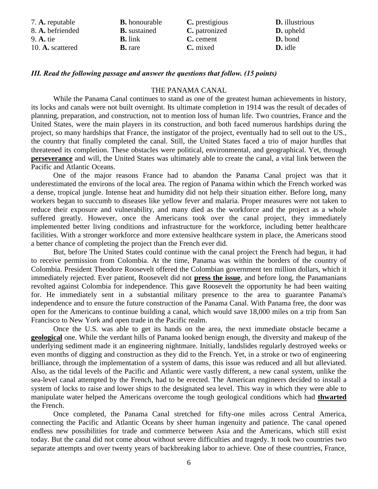| 7. A. reputable  | <b>B.</b> honourable | C. prestigious | <b>D.</b> illustrious |
|------------------|----------------------|----------------|-----------------------|
| 8. A. befriended | <b>B.</b> sustained  | C. patronized  | <b>D.</b> upheld      |
| $9. A.$ tie      | <b>B.</b> link       | C. cement      | D. bond               |
| 10. A. scattered | <b>B.</b> rare       | C. mixed       | <b>D.</b> idle        |

#### *III. Read the following passage and answer the questions that follow. (15 points)*

#### THE PANAMA CANAL

While the Panama Canal continues to stand as one of the greatest human achievements in history, its locks and canals were not built overnight. Its ultimate completion in 1914 was the result of decades of planning, preparation, and construction, not to mention loss of human life. Two countries, France and the United States, were the main players in its construction, and both faced numerous hardships during the project, so many hardships that France, the instigator of the project, eventually had to sell out to the US., the country that finally completed the canal. Still, the United States faced a trio of major hurdles that threatened its completion. These obstacles were political, environmental, and geographical. Yet, through **perseverance** and will, the United States was ultimately able to create the canal, a vital link between the Pacific and Atlantic Oceans.

One of the major reasons France had to abandon the Panama Canal project was that it underestimated the environs of the local area. The region of Panama within which the French worked was a dense, tropical jungle. Intense heat and humidity did not help their situation either. Before long, many workers began to succumb to diseases like yellow fever and malaria. Proper measures were not taken to reduce their exposure and vulnerability, and many died as the workforce and the project as a whole suffered greatly. However, once the Americans took over the canal project, they immediately implemented better living conditions and infrastructure for the workforce, including better healthcare facilities. With a stronger workforce and more extensive healthcare system in place, the Americans stood a better chance of completing the project than the French ever did.

But, before The United States could continue with the canal project the French had begun, it had to receive permission from Colombia. At the time, Panama was within the borders of the country of Colombia. President Theodore Roosevelt offered the Colombian government ten million dollars, which it immediately rejected. Ever patient, Roosevelt did not **press the issue**, and before long, the Panamanians revolted against Colombia for independence. This gave Roosevelt the opportunity he had been waiting for. He immediately sent in a substantial military presence to the area to guarantee Panama's independence and to ensure the future construction of the Panama Canal. With Panama free, the door was open for the Americans to continue building a canal, which would save 18,000 miles on a trip from San Francisco to New York and open trade in the Pacific realm.

Once the U.S. was able to get its hands on the area, the next immediate obstacle became a **geological** one. While the verdant hills of Panama looked benign enough, the diversity and makeup of the underlying sediment made it an engineering nightmare. Initially, landslides regularly destroyed weeks or even months of digging and construction as they did to the French. Yet, in a stroke or two of engineering brilliance, through the implementation of a system of dams, this issue was reduced and all but alleviated. Also, as the tidal levels of the Pacific and Atlantic were vastly different, a new canal system, unlike the sea-level canal attempted by the French, had to be erected. The American engineers decided to install a system of locks to raise and lower ships to the designated sea level. This way in which they were able to manipulate water helped the Americans overcome the tough geological conditions which had **thwarted** the French.

Once completed, the Panama Canal stretched for fifty-one miles across Central America, connecting the Pacific and Atlantic Oceans by sheer human ingenuity and patience. The canal opened endless new possibilities for trade and commerce between Asia and the Americans, which still exist today. But the canal did not come about without severe difficulties and tragedy. It took two countries two separate attempts and over twenty years of backbreaking labor to achieve. One of these countries, France,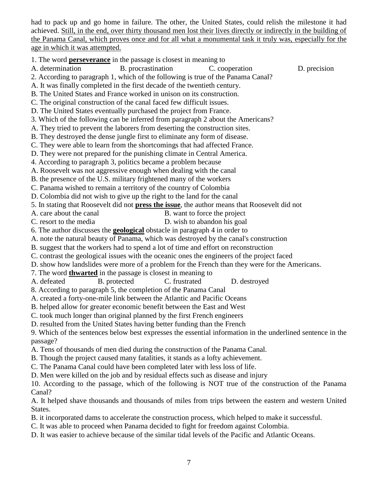had to pack up and go home in failure. The other, the United States, could relish the milestone it had achieved. Still, in the end, over thirty thousand men lost their lives directly or indirectly in the building of the Panama Canal, which proves once and for all what a monumental task it truly was, especially for the age in which it was attempted.

1. The word **perseverance** in the passage is closest in meaning to

A. determination B. procrastination C. cooperation D. precision

2. According to paragraph 1, which of the following is true of the Panama Canal?

- A. It was finally completed in the first decade of the twentieth century.
- B. The United States and France worked in unison on its construction.
- C. The original construction of the canal faced few difficult issues.
- D. The United States eventually purchased the project from France.
- 3. Which of the following can be inferred from paragraph 2 about the Americans?
- A. They tried to prevent the laborers from deserting the construction sites.
- B. They destroyed the dense jungle first to eliminate any form of disease.
- C. They were able to learn from the shortcomings that had affected France.
- D. They were not prepared for the punishing climate in Central America.
- 4. According to paragraph 3, politics became a problem because
- A. Roosevelt was not aggressive enough when dealing with the canal
- B. the presence of the U.S. military frightened many of the workers
- C. Panama wished to remain a territory of the country of Colombia
- D. Colombia did not wish to give up the right to the land for the canal
- 5. In stating that Roosevelt did not **press the issue**, the author means that Roosevelt did not
- A. care about the canal B. want to force the project
- C. resort to the media D. wish to abandon his goal
- 6. The author discusses the **geological** obstacle in paragraph 4 in order to
- A. note the natural beauty of Panama, which was destroyed by the canal's construction
- B. suggest that the workers had to spend a lot of time and effort on reconstruction
- C. contrast the geological issues with the oceanic ones the engineers of the project faced
- D. show how landslides were more of a problem for the French than they were for the Americans.
- 7. The word **thwarted** in the passage is closest in meaning to
- A. defeated B. protected C. frustrated D. destroyed
- 8. According to paragraph 5, the completion of the Panama Canal
- A. created a forty-one-mile link between the Atlantic and Pacific Oceans
- B. helped allow for greater economic benefit between the East and West
- C. took much longer than original planned by the first French engineers
- D. resulted from the United States having better funding than the French
- 9. Which of the sentences below best expresses the essential information in the underlined sentence in the passage?
- A. Tens of thousands of men died during the construction of the Panama Canal.
- B. Though the project caused many fatalities, it stands as a lofty achievement.
- C. The Panama Canal could have been completed later with less loss of life.
- D. Men were killed on the job and by residual effects such as disease and injury
- 10. According to the passage, which of the following is NOT true of the construction of the Panama Canal?
- A. It helped shave thousands and thousands of miles from trips between the eastern and western United States.
- B. it incorporated dams to accelerate the construction process, which helped to make it successful.
- C. It was able to proceed when Panama decided to fight for freedom against Colombia.
- D. It was easier to achieve because of the similar tidal levels of the Pacific and Atlantic Oceans.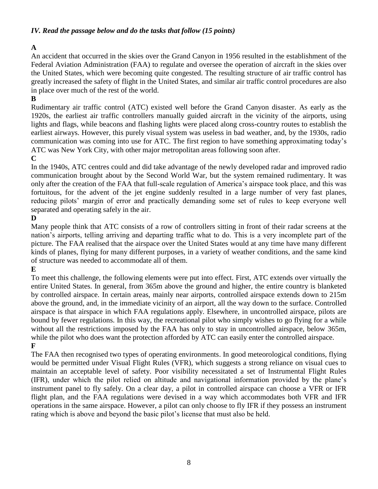## *IV. Read the passage below and do the tasks that follow (15 points)*

# **A**

An accident that occurred in the skies over the Grand Canyon in 1956 resulted in the establishment of the Federal Aviation Administration (FAA) to regulate and oversee the operation of aircraft in the skies over the United States, which were becoming quite congested. The resulting structure of air traffic control has greatly increased the safety of flight in the United States, and similar air traffic control procedures are also in place over much of the rest of the world.

# **B**

Rudimentary air traffic control (ATC) existed well before the Grand Canyon disaster. As early as the 1920s, the earliest air traffic controllers manually guided aircraft in the vicinity of the airports, using lights and flags, while beacons and flashing lights were placed along cross-country routes to establish the earliest airways. However, this purely visual system was useless in bad weather, and, by the 1930s, radio communication was coming into use for ATC. The first region to have something approximating today's ATC was New York City, with other major metropolitan areas following soon after.

# **C**

In the 1940s, ATC centres could and did take advantage of the newly developed radar and improved radio communication brought about by the Second World War, but the system remained rudimentary. It was only after the creation of the FAA that full-scale regulation of America's airspace took place, and this was fortuitous, for the advent of the jet engine suddenly resulted in a large number of very fast planes, reducing pilots' margin of error and practically demanding some set of rules to keep everyone well separated and operating safely in the air.

## **D**

Many people think that ATC consists of a row of controllers sitting in front of their radar screens at the nation's airports, telling arriving and departing traffic what to do. This is a very incomplete part of the picture. The FAA realised that the airspace over the United States would at any time have many different kinds of planes, flying for many different purposes, in a variety of weather conditions, and the same kind of structure was needed to accommodate all of them.

# **E**

To meet this challenge, the following elements were put into effect. First, ATC extends over virtually the entire United States. In general, from 365m above the ground and higher, the entire country is blanketed by controlled airspace. In certain areas, mainly near airports, controlled airspace extends down to 215m above the ground, and, in the immediate vicinity of an airport, all the way down to the surface. Controlled airspace is that airspace in which FAA regulations apply. Elsewhere, in uncontrolled airspace, pilots are bound by fewer regulations. In this way, the recreational pilot who simply wishes to go flying for a while without all the restrictions imposed by the FAA has only to stay in uncontrolled airspace, below 365m, while the pilot who does want the protection afforded by ATC can easily enter the controlled airspace. **F** 

The FAA then recognised two types of operating environments. In good meteorological conditions, flying would be permitted under Visual Flight Rules (VFR), which suggests a strong reliance on visual cues to maintain an acceptable level of safety. Poor visibility necessitated a set of Instrumental Flight Rules (IFR), under which the pilot relied on altitude and navigational information provided by the plane's instrument panel to fly safely. On a clear day, a pilot in controlled airspace can choose a VFR or IFR flight plan, and the FAA regulations were devised in a way which accommodates both VFR and IFR operations in the same airspace. However, a pilot can only choose to fly IFR if they possess an instrument rating which is above and beyond the basic pilot's license that must also be held.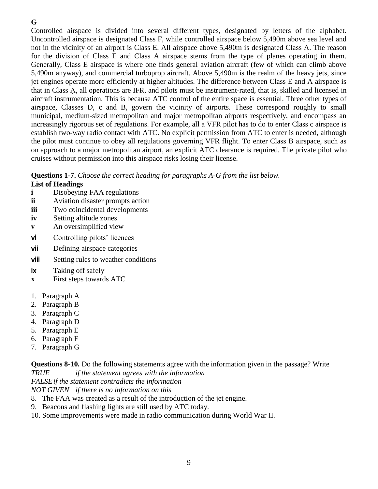# **G**

Controlled airspace is divided into several different types, designated by letters of the alphabet. Uncontrolled airspace is designated Class F, while controlled airspace below 5,490m above sea level and not in the vicinity of an airport is Class E. All airspace above 5,490m is designated Class A. The reason for the division of Class E and Class A airspace stems from the type of planes operating in them. Generally, Class E airspace is where one finds general aviation aircraft (few of which can climb above 5,490m anyway), and commercial turboprop aircraft. Above 5,490m is the realm of the heavy jets, since jet engines operate more efficiently at higher altitudes. The difference between Class E and A airspace is that in Class Ạ, all operations are IFR, and pilots must be instrument-rated, that is, skilled and licensed in aircraft instrumentation. This is because ATC control of the entire space is essential. Three other types of airspace, Classes D, c and B, govern the vicinity of airports. These correspond roughly to small municipal, medium-sized metropolitan and major metropolitan airports respectively, and encompass an increasingly rigorous set of regulations. For example, all a VFR pilot has to do to enter Class c airspace is establish two-way radio contact with ATC. No explicit permission from ATC to enter is needed, although the pilot must continue to obey all regulations governing VFR flight. To enter Class B airspace, such as on approach to a major metropolitan airport, an explicit ATC clearance is required. The private pilot who cruises without permission into this airspace risks losing their license.

**Questions 1-7.** *Choose the correct heading for paragraphs A-G from the list below.*

## **List of Headings**

- **i** Disobeying FAA regulations
- **ii** Aviation disaster prompts action
- **iii** Two coincidental developments
- **iv** Setting altitude zones
- **v** An oversimplified view
- vi Controlling pilots' licences
- vii Defining airspace categories
- **viii** Setting rules to weather conditions
- **ix** Taking off safely
- **x** First steps towards ATC
- 1. Paragraph A
- 2. Paragraph B
- 3. Paragraph C
- 4. Paragraph D
- 5. Paragraph E
- 6. Paragraph F
- 7. Paragraph G

**Questions 8-10.** Do the following statements agree with the information given in the passage? Write *TRUE if the statement agrees with the information*

*FALSEif the statement contradicts the information*

*NOT GIVEN if there is no information on this*

- 8. The FAA was created as a result of the introduction of the jet engine.
- 9. Beacons and flashing lights are still used by ATC today.
- 10. Some improvements were made in radio communication during World War II.